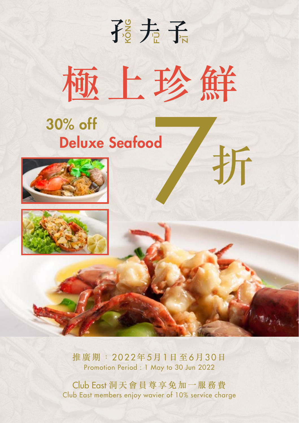# 孩夫子 極上珍鮮

折

## 30% off Deluxe Seafood





推廣期: 2022年5月1日至6月30日 Promotion Period : 1 May to 30 Jun 2022

Club East 洞天會員尊享免加一服務費 Club East members enjoy wavier of 10% service charge